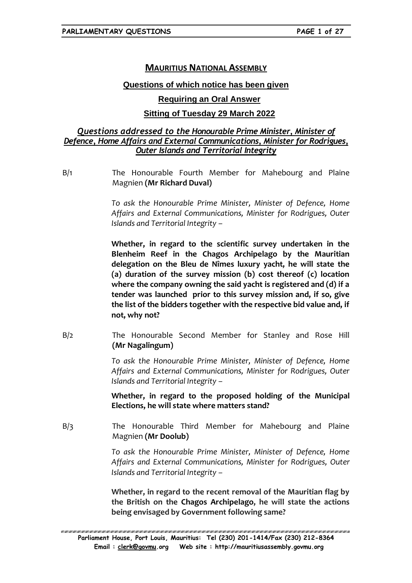# **MAURITIUS NATIONAL ASSEMBLY**

### **Questions of which notice has been given**

## **Requiring an Oral Answer**

## **Sitting of Tuesday 29 March 2022**

## *Questions addressed to the Honourable Prime Minister, Minister of Defence, Home Affairs and External Communications, Minister for Rodrigues, Outer Islands and Territorial Integrity*

B/1 The Honourable Fourth Member for Mahebourg and Plaine Magnien **(Mr Richard Duval)**

> *To ask the Honourable Prime Minister, Minister of Defence, Home Affairs and External Communications, Minister for Rodrigues, Outer Islands and Territorial Integrity –*

> **Whether, in regard to the scientific survey undertaken in the Blenheim Reef in the Chagos Archipelago by the Mauritian delegation on the Bleu de Nîmes luxury yacht, he will state the (a) duration of the survey mission (b) cost thereof (c) location where the company owning the said yacht is registered and (d) if a tender was launched prior to this survey mission and, if so, give the list of the bidders together with the respective bid value and, if not, why not?**

B/2 The Honourable Second Member for Stanley and Rose Hill **(Mr Nagalingum)**

> *To ask the Honourable Prime Minister, Minister of Defence, Home Affairs and External Communications, Minister for Rodrigues, Outer Islands and Territorial Integrity –*

> **Whether, in regard to the proposed holding of the Municipal Elections, he will state where matters stand?**

B/3 The Honourable Third Member for Mahebourg and Plaine Magnien **(Mr Doolub)**

> *To ask the Honourable Prime Minister, Minister of Defence, Home Affairs and External Communications, Minister for Rodrigues, Outer Islands and Territorial Integrity –*

> **Whether, in regard to the recent removal of the Mauritian flag by the British on the Chagos Archipelago, he will state the actions being envisaged by Government following same?**

ERREN BREKAREN KREKEREN BREKAREN KREKEREN HERREKEREN HERREKEREN HERREKEREN HERREKEREN HERREKEREN HERREKEREN HE **Parliament House, Port Louis, Mauritius: Tel (230) 201-1414/Fax (230) 212-8364 Email : [clerk@govmu.](../Documents/ddrive/Parliamentary%20Business/Parliamentary%20Questions/2022/Parliamentary%20Questions/2020/clerk@govmu⁠翿)org Web site : http://mauritiusassembly.govmu.org**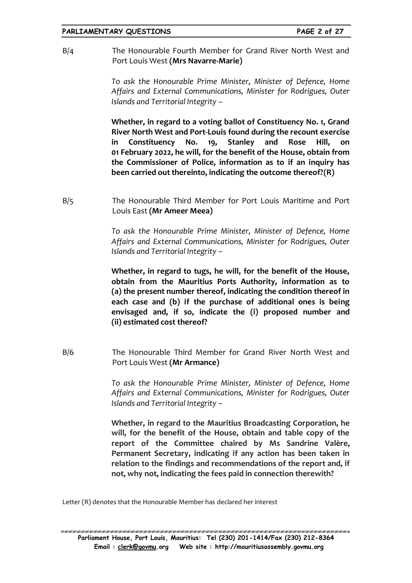B/4 The Honourable Fourth Member for Grand River North West and Port Louis West **(Mrs Navarre-Marie)**

> *To ask the Honourable Prime Minister, Minister of Defence, Home Affairs and External Communications, Minister for Rodrigues, Outer Islands and Territorial Integrity –*

> **Whether, in regard to a voting ballot of Constituency No. 1, Grand River North West and Port-Louis found during the recount exercise in Constituency No. 19, Stanley and Rose Hill, on 01 February 2022, he will, for the benefit of the House, obtain from the Commissioner of Police, information as to if an inquiry has been carried out thereinto, indicating the outcome thereof?(R)**

B/5 The Honourable Third Member for Port Louis Maritime and Port Louis East **(Mr Ameer Meea)**

> *To ask the Honourable Prime Minister, Minister of Defence, Home Affairs and External Communications, Minister for Rodrigues, Outer Islands and Territorial Integrity –*

> **Whether, in regard to tugs, he will, for the benefit of the House, obtain from the Mauritius Ports Authority, information as to (a) the present number thereof, indicating the condition thereof in each case and (b) if the purchase of additional ones is being envisaged and, if so, indicate the (i) proposed number and (ii) estimated cost thereof?**

B/6 The Honourable Third Member for Grand River North West and Port Louis West **(Mr Armance)**

> *To ask the Honourable Prime Minister, Minister of Defence, Home Affairs and External Communications, Minister for Rodrigues, Outer Islands and Territorial Integrity –*

> **Whether, in regard to the Mauritius Broadcasting Corporation, he will, for the benefit of the House, obtain and table copy of the report of the Committee chaired by Ms Sandrine Valère, Permanent Secretary, indicating if any action has been taken in relation to the findings and recommendations of the report and, if not, why not, indicating the fees paid in connection therewith?**

Letter (R) denotes that the Honourable Member has declared her interest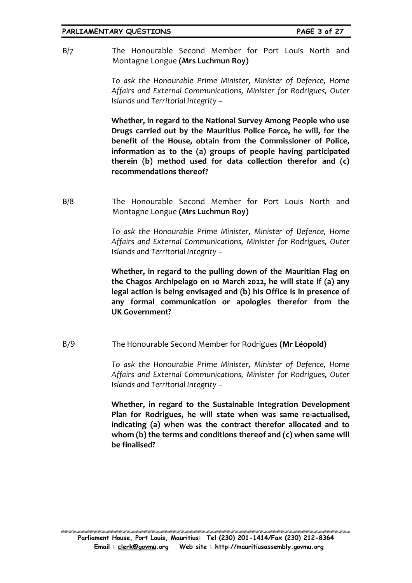#### **PARLIAMENTARY QUESTIONS PAGE 3 of 27**

B/7 The Honourable Second Member for Port Louis North and Montagne Longue **(Mrs Luchmun Roy)**

> *To ask the Honourable Prime Minister, Minister of Defence, Home Affairs and External Communications, Minister for Rodrigues, Outer Islands and Territorial Integrity –*

> **Whether, in regard to the National Survey Among People who use Drugs carried out by the Mauritius Police Force, he will, for the benefit of the House, obtain from the Commissioner of Police, information as to the (a) groups of people having participated therein (b) method used for data collection therefor and (c) recommendations thereof?**

B/8 The Honourable Second Member for Port Louis North and Montagne Longue **(Mrs Luchmun Roy)**

> *To ask the Honourable Prime Minister, Minister of Defence, Home Affairs and External Communications, Minister for Rodrigues, Outer Islands and Territorial Integrity –*

> **Whether, in regard to the pulling down of the Mauritian Flag on the Chagos Archipelago on 10 March 2022, he will state if (a) any legal action is being envisaged and (b) his Office is in presence of any formal communication or apologies therefor from the UK Government?**

B/9 The Honourable Second Member for Rodrigues **(Mr Léopold)**

*To ask the Honourable Prime Minister, Minister of Defence, Home Affairs and External Communications, Minister for Rodrigues, Outer Islands and Territorial Integrity –*

**Whether, in regard to the Sustainable Integration Development Plan for Rodrigues, he will state when was same re-actualised, indicating (a) when was the contract therefor allocated and to whom (b) the terms and conditions thereof and (c) when same will be finalised?**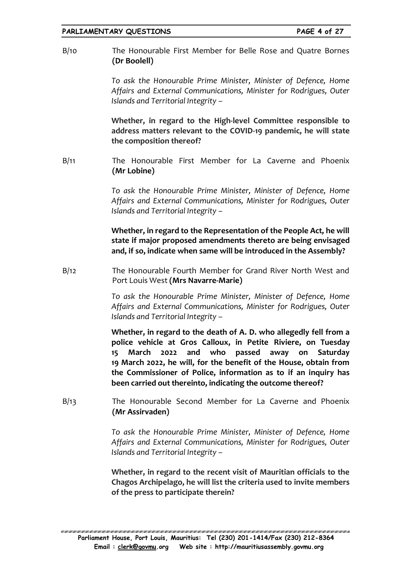B/10 The Honourable First Member for Belle Rose and Quatre Bornes **(Dr Boolell)**

> *To ask the Honourable Prime Minister, Minister of Defence, Home Affairs and External Communications, Minister for Rodrigues, Outer Islands and Territorial Integrity –*

> **Whether, in regard to the High-level Committee responsible to address matters relevant to the COVID-19 pandemic, he will state the composition thereof?**

B/11 The Honourable First Member for La Caverne and Phoenix **(Mr Lobine)**

> *To ask the Honourable Prime Minister, Minister of Defence, Home Affairs and External Communications, Minister for Rodrigues, Outer Islands and Territorial Integrity –*

> **Whether, in regard to the Representation of the People Act, he will state if major proposed amendments thereto are being envisaged and, if so, indicate when same will be introduced in the Assembly?**

B/12 The Honourable Fourth Member for Grand River North West and Port Louis West **(Mrs Navarre-Marie)**

> *To ask the Honourable Prime Minister, Minister of Defence, Home Affairs and External Communications, Minister for Rodrigues, Outer Islands and Territorial Integrity –*

> **Whether, in regard to the death of A. D. who allegedly fell from a police vehicle at Gros Calloux, in Petite Riviere, on Tuesday 15 March 2022 and who passed away on Saturday 19 March 2022, he will, for the benefit of the House, obtain from the Commissioner of Police, information as to if an inquiry has been carried out thereinto, indicating the outcome thereof?**

B/13 The Honourable Second Member for La Caverne and Phoenix **(Mr Assirvaden)**

> *To ask the Honourable Prime Minister, Minister of Defence, Home Affairs and External Communications, Minister for Rodrigues, Outer Islands and Territorial Integrity –*

> **Whether, in regard to the recent visit of Mauritian officials to the Chagos Archipelago, he will list the criteria used to invite members of the press to participate therein?**

EN NATIONAL NATIONAL NA MANAGEMENTE NA MANAGEMENTE NA MANAGEMENTE NA MANAGEMENTE NA MANAGEMENTE NA MANAGEMENTE **Parliament House, Port Louis, Mauritius: Tel (230) 201-1414/Fax (230) 212-8364 Email : [clerk@govmu.](../Documents/ddrive/Parliamentary%20Business/Parliamentary%20Questions/2022/Parliamentary%20Questions/2020/clerk@govmu⁠翿)org Web site : http://mauritiusassembly.govmu.org**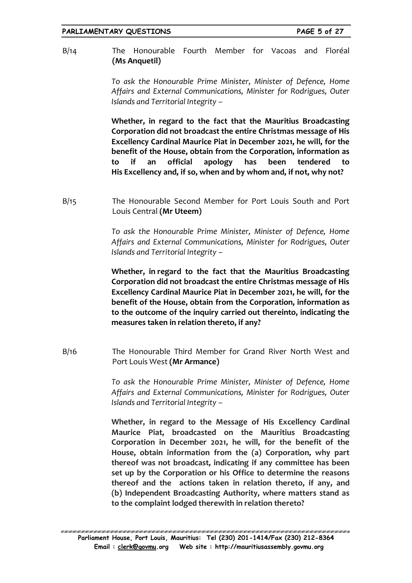B/14 The Honourable Fourth Member for Vacoas and Floréal **(Ms Anquetil)**

> *To ask the Honourable Prime Minister, Minister of Defence, Home Affairs and External Communications, Minister for Rodrigues, Outer Islands and Territorial Integrity –*

> **Whether, in regard to the fact that the Mauritius Broadcasting Corporation did not broadcast the entire Christmas message of His Excellency Cardinal Maurice Piat in December 2021, he will, for the benefit of the House, obtain from the Corporation, information as to if an official apology has been tendered to His Excellency and, if so, when and by whom and, if not, why not?**

B/15 The Honourable Second Member for Port Louis South and Port Louis Central **(Mr Uteem)**

> *To ask the Honourable Prime Minister, Minister of Defence, Home Affairs and External Communications, Minister for Rodrigues, Outer Islands and Territorial Integrity –*

> **Whether, in regard to the fact that the Mauritius Broadcasting Corporation did not broadcast the entire Christmas message of His Excellency Cardinal Maurice Piat in December 2021, he will, for the benefit of the House, obtain from the Corporation, information as to the outcome of the inquiry carried out thereinto, indicating the measures taken in relation thereto, if any?**

B/16 The Honourable Third Member for Grand River North West and Port Louis West **(Mr Armance)**

> *To ask the Honourable Prime Minister, Minister of Defence, Home Affairs and External Communications, Minister for Rodrigues, Outer Islands and Territorial Integrity –*

> **Whether, in regard to the Message of His Excellency Cardinal Maurice Piat, broadcasted on the Mauritius Broadcasting Corporation in December 2021, he will, for the benefit of the House, obtain information from the (a) Corporation, why part thereof was not broadcast, indicating if any committee has been set up by the Corporation or his Office to determine the reasons thereof and the actions taken in relation thereto, if any, and (b) Independent Broadcasting Authority, where matters stand as to the complaint lodged therewith in relation thereto?**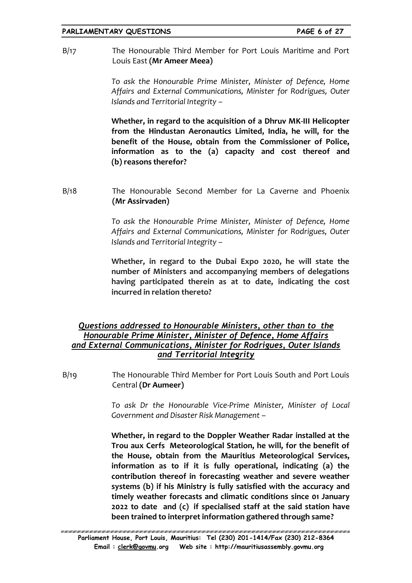B/17 The Honourable Third Member for Port Louis Maritime and Port Louis East **(Mr Ameer Meea)**

> *To ask the Honourable Prime Minister, Minister of Defence, Home Affairs and External Communications, Minister for Rodrigues, Outer Islands and Territorial Integrity –*

> **Whether, in regard to the acquisition of a Dhruv MK-III Helicopter from the Hindustan Aeronautics Limited, India, he will, for the benefit of the House, obtain from the Commissioner of Police, information as to the (a) capacity and cost thereof and (b) reasons therefor?**

B/18 The Honourable Second Member for La Caverne and Phoenix **(Mr Assirvaden)**

> *To ask the Honourable Prime Minister, Minister of Defence, Home Affairs and External Communications, Minister for Rodrigues, Outer Islands and Territorial Integrity –*

> **Whether, in regard to the Dubai Expo 2020, he will state the number of Ministers and accompanying members of delegations having participated therein as at to date, indicating the cost incurred in relation thereto?**

# *Questions addressed to Honourable Ministers, other than to the Honourable Prime Minister, Minister of Defence, Home Affairs and External Communications, Minister for Rodrigues, Outer Islands and Territorial Integrity*

B/19 The Honourable Third Member for Port Louis South and Port Louis Central **(Dr Aumeer)**

> *To ask Dr the Honourable Vice-Prime Minister, Minister of Local Government and Disaster Risk Management* –

> **Whether, in regard to the Doppler Weather Radar installed at the Trou aux Cerfs Meteorological Station, he will, for the benefit of the House, obtain from the Mauritius Meteorological Services, information as to if it is fully operational, indicating (a) the contribution thereof in forecasting weather and severe weather systems (b) if his Ministry is fully satisfied with the accuracy and timely weather forecasts and climatic conditions since 01 January 2022 to date and (c) if specialised staff at the said station have been trained to interpret information gathered through same?**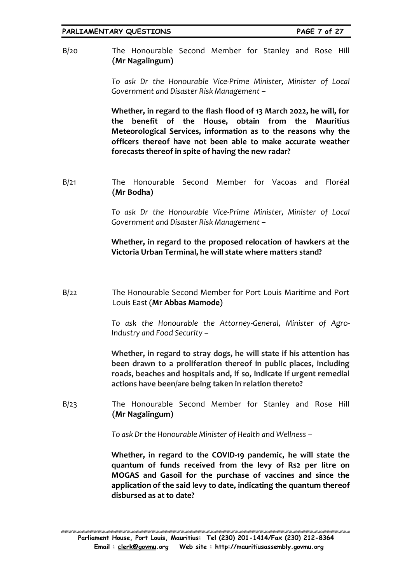B/20 The Honourable Second Member for Stanley and Rose Hill **(Mr Nagalingum)**

> *To ask Dr the Honourable Vice-Prime Minister, Minister of Local Government and Disaster Risk Management –*

> **Whether, in regard to the flash flood of 13 March 2022, he will, for the benefit of the House, obtain from the Mauritius Meteorological Services, information as to the reasons why the officers thereof have not been able to make accurate weather forecasts thereof in spite of having the new radar?**

B/21 The Honourable Second Member for Vacoas and Floréal **(Mr Bodha)**

> *To ask Dr the Honourable Vice-Prime Minister, Minister of Local Government and Disaster Risk Management –*

> **Whether, in regard to the proposed relocation of hawkers at the Victoria Urban Terminal, he will state where matters stand?**

B/22 The Honourable Second Member for Port Louis Maritime and Port Louis East (**Mr Abbas Mamode)**

> *To ask the Honourable the Attorney-General, Minister of Agro-Industry and Food Security –*

> **Whether, in regard to stray dogs, he will state if his attention has been drawn to a proliferation thereof in public places, including roads, beaches and hospitals and, if so, indicate if urgent remedial actions have been/are being taken in relation thereto?**

B/23 The Honourable Second Member for Stanley and Rose Hill **(Mr Nagalingum)**

*To ask Dr the Honourable Minister of Health and Wellness –*

**Whether, in regard to the COVID-19 pandemic, he will state the quantum of funds received from the levy of Rs2 per litre on MOGAS and Gasoil for the purchase of vaccines and since the application of the said levy to date, indicating the quantum thereof disbursed as at to date?**

ERREN BREKER KREAREN ER KREAREN ER KREAREN ER KREAREN ER KREAREN ER KREAREN ER KREAREN ER KREAREN ER KREAREN E **Parliament House, Port Louis, Mauritius: Tel (230) 201-1414/Fax (230) 212-8364 Email : [clerk@govmu.](../Documents/ddrive/Parliamentary%20Business/Parliamentary%20Questions/2022/Parliamentary%20Questions/2020/clerk@govmu⁠翿)org Web site : http://mauritiusassembly.govmu.org**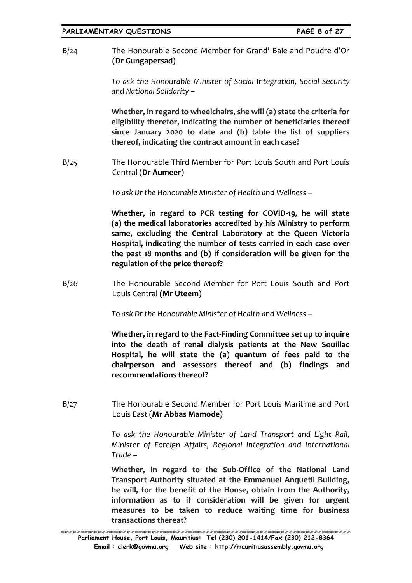| PARLIAMENTARY QUESTIONS |
|-------------------------|
|-------------------------|

B/24 The Honourable Second Member for Grand' Baie and Poudre d'Or **(Dr Gungapersad)**

> *To ask the Honourable Minister of Social Integration, Social Security and National Solidarity –*

> **Whether, in regard to wheelchairs, she will (a) state the criteria for eligibility therefor, indicating the number of beneficiaries thereof since January 2020 to date and (b) table the list of suppliers thereof, indicating the contract amount in each case?**

B/25 The Honourable Third Member for Port Louis South and Port Louis Central **(Dr Aumeer)**

*To ask Dr the Honourable Minister of Health and Wellness –*

**Whether, in regard to PCR testing for COVID-19, he will state (a) the medical laboratories accredited by his Ministry to perform same, excluding the Central Laboratory at the Queen Victoria Hospital, indicating the number of tests carried in each case over the past 18 months and (b) if consideration will be given for the regulation of the price thereof?**

B/26 The Honourable Second Member for Port Louis South and Port Louis Central **(Mr Uteem)**

*To ask Dr the Honourable Minister of Health and Wellness –*

**Whether, in regard to the Fact-Finding Committee set up to inquire into the death of renal dialysis patients at the New Souillac Hospital, he will state the (a) quantum of fees paid to the chairperson and assessors thereof and (b) findings and recommendations thereof?**

B/27 The Honourable Second Member for Port Louis Maritime and Port Louis East (**Mr Abbas Mamode)**

> *To ask the Honourable Minister of Land Transport and Light Rail, Minister of Foreign Affairs, Regional Integration and International Trade –*

> **Whether, in regard to the Sub-Office of the National Land Transport Authority situated at the Emmanuel Anquetil Building, he will, for the benefit of the House, obtain from the Authority, information as to if consideration will be given for urgent measures to be taken to reduce waiting time for business transactions thereat?**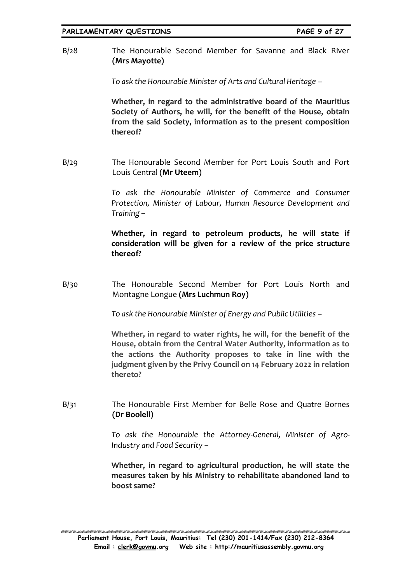B/28 The Honourable Second Member for Savanne and Black River **(Mrs Mayotte)**

*To ask the Honourable Minister of Arts and Cultural Heritage –*

**Whether, in regard to the administrative board of the Mauritius Society of Authors, he will, for the benefit of the House, obtain from the said Society, information as to the present composition thereof?**

B/29 The Honourable Second Member for Port Louis South and Port Louis Central **(Mr Uteem)**

> *To ask the Honourable Minister of Commerce and Consumer Protection, Minister of Labour, Human Resource Development and Training –*

> **Whether, in regard to petroleum products, he will state if consideration will be given for a review of the price structure thereof?**

B/30 The Honourable Second Member for Port Louis North and Montagne Longue **(Mrs Luchmun Roy)**

*To ask the Honourable Minister of Energy and Public Utilities –*

**Whether, in regard to water rights, he will, for the benefit of the House, obtain from the Central Water Authority, information as to the actions the Authority proposes to take in line with the judgment given by the Privy Council on 14 February 2022 in relation thereto?**

B/31 The Honourable First Member for Belle Rose and Quatre Bornes **(Dr Boolell)**

> *To ask the Honourable the Attorney-General, Minister of Agro-Industry and Food Security –*

> **Whether, in regard to agricultural production, he will state the measures taken by his Ministry to rehabilitate abandoned land to boost same?**

EN NATIONAL NATIONAL NA MANAGEMENTE NA MANAGEMENTE NA MANAGEMENTE NA MANAGEMENTE NA MANAGEMENTE NA MANAGEMENTE **Parliament House, Port Louis, Mauritius: Tel (230) 201-1414/Fax (230) 212-8364 Email : [clerk@govmu.](../Documents/ddrive/Parliamentary%20Business/Parliamentary%20Questions/2022/Parliamentary%20Questions/2020/clerk@govmu⁠翿)org Web site : http://mauritiusassembly.govmu.org**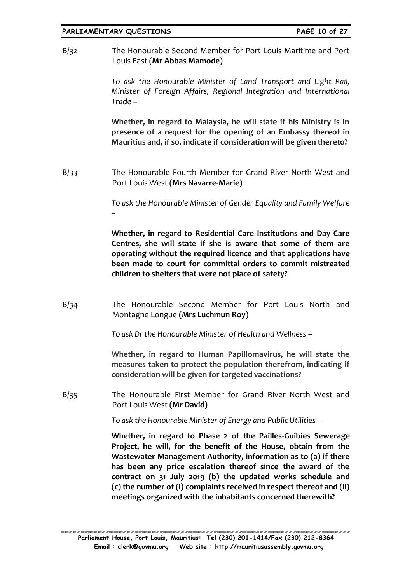### **PARLIAMENTARY QUESTIONS PAGE 10 of 27**

B/32 The Honourable Second Member for Port Louis Maritime and Port Louis East (**Mr Abbas Mamode)**

> *To ask the Honourable Minister of Land Transport and Light Rail, Minister of Foreign Affairs, Regional Integration and International Trade –*

> **Whether, in regard to Malaysia, he will state if his Ministry is in presence of a request for the opening of an Embassy thereof in Mauritius and, if so, indicate if consideration will be given thereto?**

B/33 The Honourable Fourth Member for Grand River North West and Port Louis West **(Mrs Navarre-Marie)**

> *To ask the Honourable Minister of Gender Equality and Family Welfare –*

> **Whether, in regard to Residential Care Institutions and Day Care Centres, she will state if she is aware that some of them are operating without the required licence and that applications have been made to court for committal orders to commit mistreated children to shelters that were not place of safety?**

B/34 The Honourable Second Member for Port Louis North and Montagne Longue **(Mrs Luchmun Roy)**

*To ask Dr the Honourable Minister of Health and Wellness –*

**Whether, in regard to Human Papillomavirus, he will state the measures taken to protect the population therefrom, indicating if consideration will be given for targeted vaccinations?**

B/35 The Honourable First Member for Grand River North West and Port Louis West **(Mr David)**

*To ask the Honourable Minister of Energy and Public Utilities –*

**Whether, in regard to Phase 2 of the Pailles-Guibies Sewerage Project, he will, for the benefit of the House, obtain from the Wastewater Management Authority, information as to (a) if there has been any price escalation thereof since the award of the contract on 31 July 2019 (b) the updated works schedule and (c) the number of (i) complaints received in respect thereof and (ii) meetings organized with the inhabitants concerned therewith?**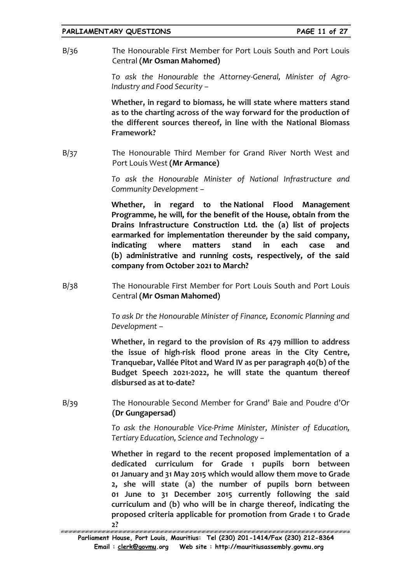B/36 The Honourable First Member for Port Louis South and Port Louis Central **(Mr Osman Mahomed)**

> *To ask the Honourable the Attorney-General, Minister of Agro-Industry and Food Security –*

> **Whether, in regard to biomass, he will state where matters stand as to the charting across of the way forward for the production of the different sources thereof, in line with the National Biomass Framework?**

B/37 The Honourable Third Member for Grand River North West and Port Louis West **(Mr Armance)**

> *To ask the Honourable Minister of National Infrastructure and Community Development –*

> **Whether, in regard to the National Flood Management Programme, he will, for the benefit of the House, obtain from the Drains Infrastructure Construction Ltd. the (a) list of projects earmarked for implementation thereunder by the said company, indicating where matters stand in each case and (b) administrative and running costs, respectively, of the said company from October 2021 to March?**

B/38 The Honourable First Member for Port Louis South and Port Louis Central **(Mr Osman Mahomed)**

> *To ask Dr the Honourable Minister of Finance, Economic Planning and Development –*

> **Whether, in regard to the provision of Rs 479 million to address the issue of high-risk flood prone areas in the City Centre, Tranquebar, Vallée Pitot and Ward IV as per paragraph 40(b) of the Budget Speech 2021-2022, he will state the quantum thereof disbursed as at to-date?**

B/39 The Honourable Second Member for Grand' Baie and Poudre d'Or **(Dr Gungapersad)**

> *To ask the Honourable Vice-Prime Minister, Minister of Education, Tertiary Education, Science and Technology –*

> **Whether in regard to the recent proposed implementation of a dedicated curriculum for Grade 1 pupils born between 01 January and 31 May 2015 which would allow them move to Grade 2, she will state (a) the number of pupils born between 01 June to 31 December 2015 currently following the said curriculum and (b) who will be in charge thereof, indicating the proposed criteria applicable for promotion from Grade 1 to Grade**

**Parliament House, Port Louis, Mauritius: Tel (230) 201-1414/Fax (230) 212-8364 Email : [clerk@govmu.](../Documents/ddrive/Parliamentary%20Business/Parliamentary%20Questions/2022/Parliamentary%20Questions/2020/clerk@govmu⁠翿)org Web site : http://mauritiusassembly.govmu.org** 2?<br>TERRET EN ESTERATOR DE L'ARTICULATION DE L'ARTICULATION DE L'ARTICULATION DE L'ARTICULATION DE L'ARTICULATION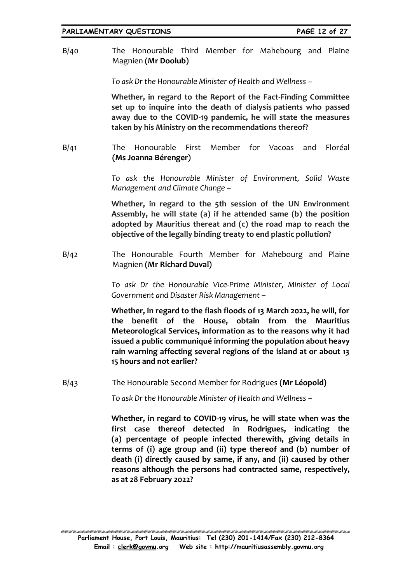B/40 The Honourable Third Member for Mahebourg and Plaine Magnien **(Mr Doolub)**

*To ask Dr the Honourable Minister of Health and Wellness –*

**Whether, in regard to the Report of the Fact-Finding Committee set up to inquire into the death of dialysis patients who passed away due to the COVID-19 pandemic, he will state the measures taken by his Ministry on the recommendations thereof?**

B/41 The Honourable First Member for Vacoas and Floréal **(Ms Joanna Bérenger)**

> *To ask the Honourable Minister of Environment, Solid Waste Management and Climate Change –*

> **Whether, in regard to the 5th session of the UN Environment Assembly, he will state (a) if he attended same (b) the position adopted by Mauritius thereat and (c) the road map to reach the objective of the legally binding treaty to end plastic pollution?**

B/42 The Honourable Fourth Member for Mahebourg and Plaine Magnien **(Mr Richard Duval)**

> *To ask Dr the Honourable Vice-Prime Minister, Minister of Local Government and Disaster Risk Management* –

> **Whether, in regard to the flash floods of 13 March 2022, he will, for the benefit of the House, obtain from the Mauritius Meteorological Services, information as to the reasons why it had issued a public communiqué informing the population about heavy rain warning affecting several regions of the island at or about 13 15 hours and not earlier?**

B/43 The Honourable Second Member for Rodrigues **(Mr Léopold)**

*To ask Dr the Honourable Minister of Health and Wellness –*

**Whether, in regard to COVID-19 virus, he will state when was the first case thereof detected in Rodrigues, indicating the (a) percentage of people infected therewith, giving details in terms of (i) age group and (ii) type thereof and (b) number of death (i) directly caused by same, if any, and (ii) caused by other reasons although the persons had contracted same, respectively, as at 28 February 2022?**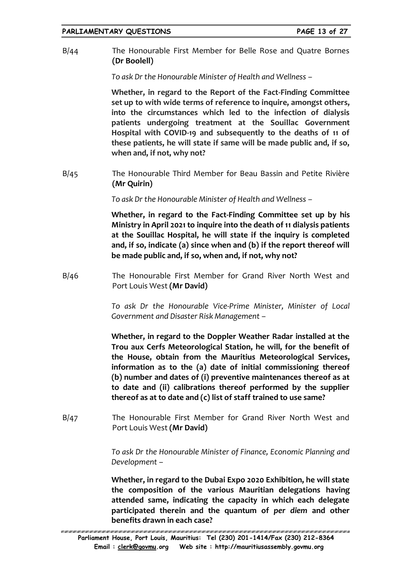B/44 The Honourable First Member for Belle Rose and Quatre Bornes **(Dr Boolell)**

*To ask Dr the Honourable Minister of Health and Wellness –*

**Whether, in regard to the Report of the Fact-Finding Committee set up to with wide terms of reference to inquire, amongst others, into the circumstances which led to the infection of dialysis patients undergoing treatment at the Souillac Government Hospital with COVID-19 and subsequently to the deaths of 11 of these patients, he will state if same will be made public and, if so, when and, if not, why not?** 

B/45 The Honourable Third Member for Beau Bassin and Petite Rivière **(Mr Quirin)**

*To ask Dr the Honourable Minister of Health and Wellness –*

**Whether, in regard to the Fact-Finding Committee set up by his Ministry in April 2021 to inquire into the death of 11 dialysis patients at the Souillac Hospital, he will state if the inquiry is completed and, if so, indicate (a) since when and (b) if the report thereof will be made public and, if so, when and, if not, why not?**

B/46 The Honourable First Member for Grand River North West and Port Louis West **(Mr David)**

> *To ask Dr the Honourable Vice-Prime Minister, Minister of Local Government and Disaster Risk Management –*

> **Whether, in regard to the Doppler Weather Radar installed at the Trou aux Cerfs Meteorological Station, he will, for the benefit of the House, obtain from the Mauritius Meteorological Services, information as to the (a) date of initial commissioning thereof (b) number and dates of (i) preventive maintenances thereof as at to date and (ii) calibrations thereof performed by the supplier thereof as at to date and (c) list of staff trained to use same?**

B/47 The Honourable First Member for Grand River North West and Port Louis West **(Mr David)**

> *To ask Dr the Honourable Minister of Finance, Economic Planning and Development –*

> **Whether, in regard to the Dubai Expo 2020 Exhibition, he will state the composition of the various Mauritian delegations having attended same, indicating the capacity in which each delegate participated therein and the quantum of** *per diem* **and other benefits drawn in each case?**

<sup>\*/</sup>ELEVENELELELENEN ELEVENELELENEN ELEVENELELENEN ELEVENELELENEN ELEVENELELENEN ELEVENELELENEN ELEVENELELENEN ELEVENE **Parliament House, Port Louis, Mauritius: Tel (230) 201-1414/Fax (230) 212-8364 Email : [clerk@govmu.](../Documents/ddrive/Parliamentary%20Business/Parliamentary%20Questions/2022/Parliamentary%20Questions/2020/clerk@govmu⁠翿)org Web site : http://mauritiusassembly.govmu.org**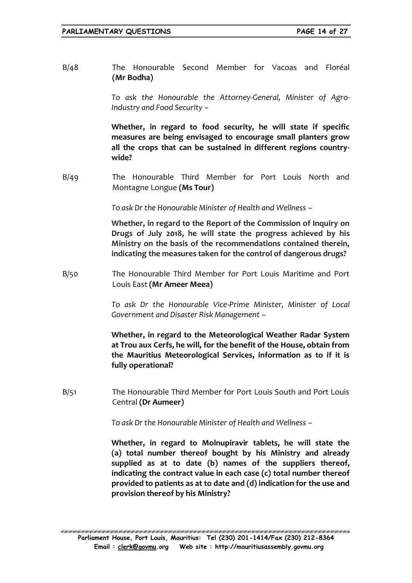B/48 The Honourable Second Member for Vacoas and Floréal **(Mr Bodha)**

> *To ask the Honourable the Attorney-General, Minister of Agro-Industry and Food Security –*

> **Whether, in regard to food security, he will state if specific measures are being envisaged to encourage small planters grow all the crops that can be sustained in different regions countrywide?**

B/49 The Honourable Third Member for Port Louis North and Montagne Longue **(Ms Tour)**

*To ask Dr the Honourable Minister of Health and Wellness –*

**Whether, in regard to the Report of the Commission of Inquiry on Drugs of July 2018, he will state the progress achieved by his Ministry on the basis of the recommendations contained therein, indicating the measures taken for the control of dangerous drugs?**

B/50 The Honourable Third Member for Port Louis Maritime and Port Louis East **(Mr Ameer Meea)**

> *To ask Dr the Honourable Vice-Prime Minister, Minister of Local Government and Disaster Risk Management –*

> **Whether, in regard to the Meteorological Weather Radar System at Trou aux Cerfs, he will, for the benefit of the House, obtain from the Mauritius Meteorological Services, information as to if it is fully operational?**

B/51 The Honourable Third Member for Port Louis South and Port Louis Central **(Dr Aumeer)**

*To ask Dr the Honourable Minister of Health and Wellness –*

**Whether, in regard to Molnupiravir tablets, he will state the (a) total number thereof bought by his Ministry and already supplied as at to date (b) names of the suppliers thereof, indicating the contract value in each case (c) total number thereof provided to patients as at to date and (d) indication for the use and provision thereof by his Ministry?**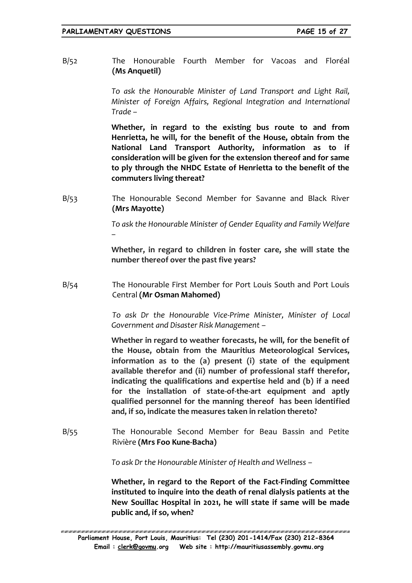B/52 The Honourable Fourth Member for Vacoas and Floréal **(Ms Anquetil)**

> *To ask the Honourable Minister of Land Transport and Light Rail, Minister of Foreign Affairs, Regional Integration and International Trade –*

> **Whether, in regard to the existing bus route to and from Henrietta, he will, for the benefit of the House, obtain from the National Land Transport Authority, information as to if consideration will be given for the extension thereof and for same to ply through the NHDC Estate of Henrietta to the benefit of the commuters living thereat?**

B/53 The Honourable Second Member for Savanne and Black River **(Mrs Mayotte)**

> *To ask the Honourable Minister of Gender Equality and Family Welfare –*

> **Whether, in regard to children in foster care, she will state the number thereof over the past five years?**

B/54 The Honourable First Member for Port Louis South and Port Louis Central **(Mr Osman Mahomed)**

> *To ask Dr the Honourable Vice-Prime Minister, Minister of Local Government and Disaster Risk Management –*

> **Whether in regard to weather forecasts, he will, for the benefit of the House, obtain from the Mauritius Meteorological Services, information as to the (a) present (i) state of the equipment available therefor and (ii) number of professional staff therefor, indicating the qualifications and expertise held and (b) if a need for the installation of state-of-the-art equipment and aptly qualified personnel for the manning thereof has been identified and, if so, indicate the measures taken in relation thereto?**

B/55 The Honourable Second Member for Beau Bassin and Petite Rivière **(Mrs Foo Kune-Bacha)**

*To ask Dr the Honourable Minister of Health and Wellness –*

**Whether, in regard to the Report of the Fact-Finding Committee instituted to inquire into the death of renal dialysis patients at the New Souillac Hospital in 2021, he will state if same will be made public and, if so, when?**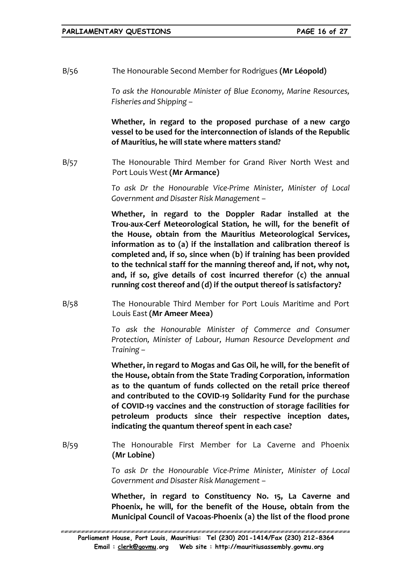B/56 The Honourable Second Member for Rodrigues **(Mr Léopold)**

*To ask the Honourable Minister of Blue Economy, Marine Resources, Fisheries and Shipping –*

**Whether, in regard to the proposed purchase of a new cargo vessel to be used for the interconnection of islands of the Republic of Mauritius, he will state where matters stand?**

B/57 The Honourable Third Member for Grand River North West and Port Louis West **(Mr Armance)**

> *To ask Dr the Honourable Vice-Prime Minister, Minister of Local Government and Disaster Risk Management –*

> **Whether, in regard to the Doppler Radar installed at the Trou-aux-Cerf Meteorological Station, he will, for the benefit of the House, obtain from the Mauritius Meteorological Services, information as to (a) if the installation and calibration thereof is completed and, if so, since when (b) if training has been provided to the technical staff for the manning thereof and, if not, why not, and, if so, give details of cost incurred therefor (c) the annual running cost thereof and (d) if the output thereof is satisfactory?**

B/58 The Honourable Third Member for Port Louis Maritime and Port Louis East **(Mr Ameer Meea)**

> *To ask the Honourable Minister of Commerce and Consumer Protection, Minister of Labour, Human Resource Development and Training –*

> **Whether, in regard to Mogas and Gas Oil, he will, for the benefit of the House, obtain from the State Trading Corporation, information as to the quantum of funds collected on the retail price thereof and contributed to the COVID-19 Solidarity Fund for the purchase of COVID-19 vaccines and the construction of storage facilities for petroleum products since their respective inception dates, indicating the quantum thereof spent in each case?**

B/59 The Honourable First Member for La Caverne and Phoenix **(Mr Lobine)**

> *To ask Dr the Honourable Vice-Prime Minister, Minister of Local Government and Disaster Risk Management –*

> **Whether, in regard to Constituency No. 15, La Caverne and Phoenix, he will, for the benefit of the House, obtain from the Municipal Council of Vacoas-Phoenix (a) the list of the flood prone**

ERREN BRUKEN KORTEN BRUKEN KORTEN HERREN BRUKEN KORTEN HERREN BRUKEN HERREN HERREN HERREN HERREN HERREN HERREN **Parliament House, Port Louis, Mauritius: Tel (230) 201-1414/Fax (230) 212-8364 Email : [clerk@govmu.](../Documents/ddrive/Parliamentary%20Business/Parliamentary%20Questions/2022/Parliamentary%20Questions/2020/clerk@govmu⁠翿)org Web site : http://mauritiusassembly.govmu.org**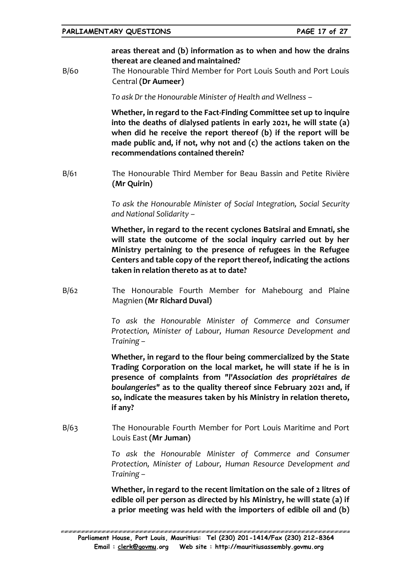**areas thereat and (b) information as to when and how the drains thereat are cleaned and maintained?**

B/60 The Honourable Third Member for Port Louis South and Port Louis Central **(Dr Aumeer)**

*To ask Dr the Honourable Minister of Health and Wellness –*

**Whether, in regard to the Fact-Finding Committee set up to inquire into the deaths of dialysed patients in early 2021, he will state (a) when did he receive the report thereof (b) if the report will be made public and, if not, why not and (c) the actions taken on the recommendations contained therein?** 

B/61 The Honourable Third Member for Beau Bassin and Petite Rivière **(Mr Quirin)**

> *To ask the Honourable Minister of Social Integration, Social Security and National Solidarity –*

> **Whether, in regard to the recent cyclones Batsirai and Emnati, she will state the outcome of the social inquiry carried out by her Ministry pertaining to the presence of refugees in the Refugee Centers and table copy of the report thereof, indicating the actions taken in relation thereto as at to date?**

B/62 The Honourable Fourth Member for Mahebourg and Plaine Magnien **(Mr Richard Duval)**

> *To ask the Honourable Minister of Commerce and Consumer Protection, Minister of Labour, Human Resource Development and Training –*

> **Whether, in regard to the flour being commercialized by the State Trading Corporation on the local market, he will state if he is in presence of complaints from** *"l'Association des propriétaires de boulangeries"* **as to the quality thereof since February 2021 and, if so, indicate the measures taken by his Ministry in relation thereto, if any?**

B/63 The Honourable Fourth Member for Port Louis Maritime and Port Louis East **(Mr Juman)**

> *To ask the Honourable Minister of Commerce and Consumer Protection, Minister of Labour, Human Resource Development and Training –*

> **Whether, in regard to the recent limitation on the sale of 2 litres of edible oil per person as directed by his Ministry, he will state (a) if a prior meeting was held with the importers of edible oil and (b)**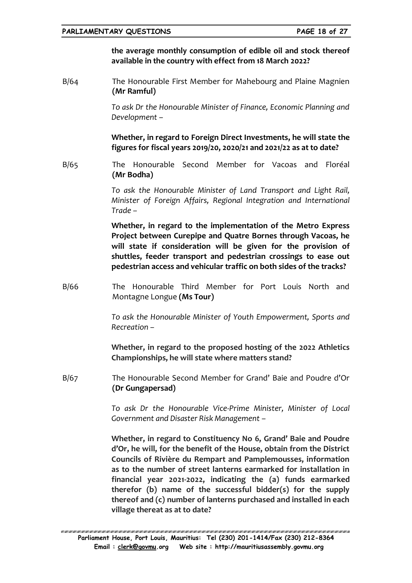**the average monthly consumption of edible oil and stock thereof available in the country with effect from 18 March 2022?**

B/64 The Honourable First Member for Mahebourg and Plaine Magnien **(Mr Ramful)**

> *To ask Dr the Honourable Minister of Finance, Economic Planning and Development –*

> **Whether, in regard to Foreign Direct Investments, he will state the figures for fiscal years 2019/20, 2020/21 and 2021/22 as at to date?**

B/65 The Honourable Second Member for Vacoas and Floréal **(Mr Bodha)**

> *To ask the Honourable Minister of Land Transport and Light Rail, Minister of Foreign Affairs, Regional Integration and International Trade –*

> **Whether, in regard to the implementation of the Metro Express Project between Curepipe and Quatre Bornes through Vacoas, he will state if consideration will be given for the provision of shuttles, feeder transport and pedestrian crossings to ease out pedestrian access and vehicular traffic on both sides of the tracks?**

B/66 The Honourable Third Member for Port Louis North and Montagne Longue **(Ms Tour)**

> *To ask the Honourable Minister of Youth Empowerment, Sports and Recreation –*

> **Whether, in regard to the proposed hosting of the 2022 Athletics Championships, he will state where matters stand?**

B/67 The Honourable Second Member for Grand' Baie and Poudre d'Or **(Dr Gungapersad)**

> *To ask Dr the Honourable Vice-Prime Minister, Minister of Local Government and Disaster Risk Management –*

> **Whether, in regard to Constituency No 6, Grand' Baie and Poudre d'Or, he will, for the benefit of the House, obtain from the District Councils of Rivière du Rempart and Pamplemousses, information as to the number of street lanterns earmarked for installation in financial year 2021-2022, indicating the (a) funds earmarked therefor (b) name of the successful bidder(s) for the supply thereof and (c) number of lanterns purchased and installed in each village thereat as at to date?**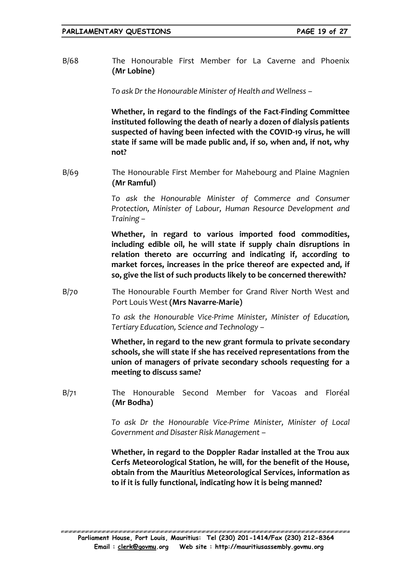B/68 The Honourable First Member for La Caverne and Phoenix **(Mr Lobine)**

*To ask Dr the Honourable Minister of Health and Wellness –*

**Whether, in regard to the findings of the Fact-Finding Committee instituted following the death of nearly a dozen of dialysis patients suspected of having been infected with the COVID-19 virus, he will state if same will be made public and, if so, when and, if not, why not?**

B/69 The Honourable First Member for Mahebourg and Plaine Magnien **(Mr Ramful)**

> *To ask the Honourable Minister of Commerce and Consumer Protection, Minister of Labour, Human Resource Development and Training –*

> **Whether, in regard to various imported food commodities, including edible oil, he will state if supply chain disruptions in relation thereto are occurring and indicating if, according to market forces, increases in the price thereof are expected and, if so, give the list of such products likely to be concerned therewith?**

B/70 The Honourable Fourth Member for Grand River North West and Port Louis West **(Mrs Navarre-Marie)**

> *To ask the Honourable Vice-Prime Minister, Minister of Education, Tertiary Education, Science and Technology –*

> **Whether, in regard to the new grant formula to private secondary schools, she will state if she has received representations from the union of managers of private secondary schools requesting for a meeting to discuss same?**

B/71 The Honourable Second Member for Vacoas and Floréal **(Mr Bodha)**

> *To ask Dr the Honourable Vice-Prime Minister, Minister of Local Government and Disaster Risk Management* –

> **Whether, in regard to the Doppler Radar installed at the Trou aux Cerfs Meteorological Station, he will, for the benefit of the House, obtain from the Mauritius Meteorological Services, information as to if it is fully functional, indicating how it is being manned?**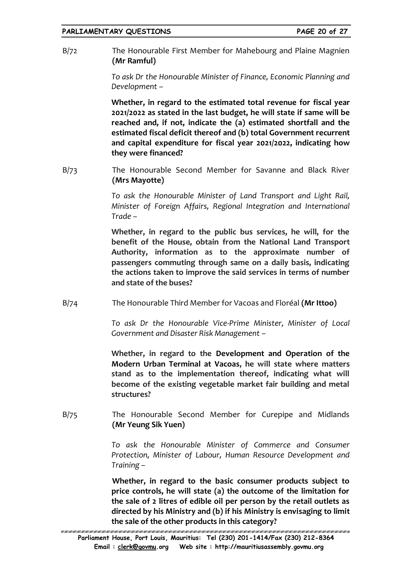B/72 The Honourable First Member for Mahebourg and Plaine Magnien **(Mr Ramful)**

> *To ask Dr the Honourable Minister of Finance, Economic Planning and Development –*

> **Whether, in regard to the estimated total revenue for fiscal year 2021/2022 as stated in the last budget, he will state if same will be reached and, if not, indicate the (a) estimated shortfall and the estimated fiscal deficit thereof and (b) total Government recurrent and capital expenditure for fiscal year 2021/2022, indicating how they were financed?**

B/73 The Honourable Second Member for Savanne and Black River **(Mrs Mayotte)**

> *To ask the Honourable Minister of Land Transport and Light Rail, Minister of Foreign Affairs, Regional Integration and International Trade –*

> **Whether, in regard to the public bus services, he will, for the benefit of the House, obtain from the National Land Transport Authority, information as to the approximate number of passengers commuting through same on a daily basis, indicating the actions taken to improve the said services in terms of number and state of the buses?**

B/74 The Honourable Third Member for Vacoas and Floréal **(Mr Ittoo)**

*To ask Dr the Honourable Vice-Prime Minister, Minister of Local Government and Disaster Risk Management –*

**Whether, in regard to the Development and Operation of the Modern Urban Terminal at Vacoas, he will state where matters stand as to the implementation thereof, indicating what will become of the existing vegetable market fair building and metal structures?**

B/75 The Honourable Second Member for Curepipe and Midlands **(Mr Yeung Sik Yuen)**

> *To ask the Honourable Minister of Commerce and Consumer Protection, Minister of Labour, Human Resource Development and Training –*

> **Whether, in regard to the basic consumer products subject to price controls, he will state (a) the outcome of the limitation for the sale of 2 litres of edible oil per person by the retail outlets as directed by his Ministry and (b) if his Ministry is envisaging to limit the sale of the other products in this category?**

**Parliament House, Port Louis, Mauritius: Tel (230) 201-1414/Fax (230) 212-8364 Email : [clerk@govmu.](../Documents/ddrive/Parliamentary%20Business/Parliamentary%20Questions/2022/Parliamentary%20Questions/2020/clerk@govmu⁠翿)org Web site : http://mauritiusassembly.govmu.org**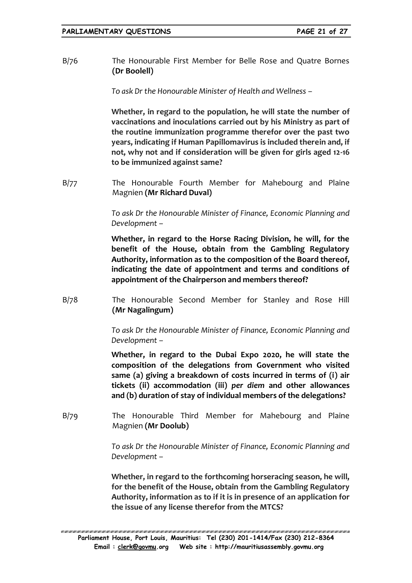B/76 The Honourable First Member for Belle Rose and Quatre Bornes **(Dr Boolell)**

*To ask Dr the Honourable Minister of Health and Wellness –*

**Whether, in regard to the population, he will state the number of vaccinations and inoculations carried out by his Ministry as part of the routine immunization programme therefor over the past two years, indicating if Human Papillomavirus is included therein and, if not, why not and if consideration will be given for girls aged 12-16 to be immunized against same?**

B/77 The Honourable Fourth Member for Mahebourg and Plaine Magnien **(Mr Richard Duval)**

> *To ask Dr the Honourable Minister of Finance, Economic Planning and Development –*

> **Whether, in regard to the Horse Racing Division, he will, for the benefit of the House, obtain from the Gambling Regulatory Authority, information as to the composition of the Board thereof, indicating the date of appointment and terms and conditions of appointment of the Chairperson and members thereof?**

B/78 The Honourable Second Member for Stanley and Rose Hill **(Mr Nagalingum)**

> *To ask Dr the Honourable Minister of Finance, Economic Planning and Development –*

> **Whether, in regard to the Dubai Expo 2020, he will state the composition of the delegations from Government who visited same (a) giving a breakdown of costs incurred in terms of (i) air tickets (ii) accommodation (iii)** *per diem* **and other allowances and (b) duration of stay of individual members of the delegations?**

B/79 The Honourable Third Member for Mahebourg and Plaine Magnien **(Mr Doolub)**

> *To ask Dr the Honourable Minister of Finance, Economic Planning and Development –*

> **Whether, in regard to the forthcoming horseracing season, he will, for the benefit of the House, obtain from the Gambling Regulatory Authority, information as to if it is in presence of an application for the issue of any license therefor from the MTCS?**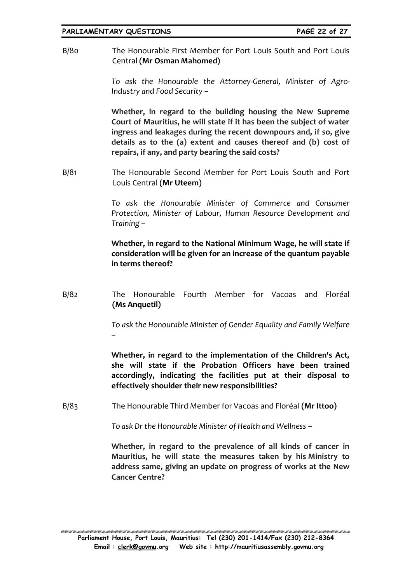B/80 The Honourable First Member for Port Louis South and Port Louis Central **(Mr Osman Mahomed)**

> *To ask the Honourable the Attorney-General, Minister of Agro-Industry and Food Security –*

> **Whether, in regard to the building housing the New Supreme Court of Mauritius, he will state if it has been the subject of water ingress and leakages during the recent downpours and, if so, give details as to the (a) extent and causes thereof and (b) cost of repairs, if any, and party bearing the said costs?**

B/81 The Honourable Second Member for Port Louis South and Port Louis Central **(Mr Uteem)**

> *To ask the Honourable Minister of Commerce and Consumer Protection, Minister of Labour, Human Resource Development and Training –*

> **Whether, in regard to the National Minimum Wage, he will state if consideration will be given for an increase of the quantum payable in terms thereof?**

B/82 The Honourable Fourth Member for Vacoas and Floréal **(Ms Anquetil)**

> *To ask the Honourable Minister of Gender Equality and Family Welfare –*

> **Whether, in regard to the implementation of the Children's Act, she will state if the Probation Officers have been trained accordingly, indicating the facilities put at their disposal to effectively shoulder their new responsibilities?**

B/83 The Honourable Third Member for Vacoas and Floréal **(Mr Ittoo)**

*To ask Dr the Honourable Minister of Health and Wellness –*

**Whether, in regard to the prevalence of all kinds of cancer in Mauritius, he will state the measures taken by his Ministry to address same, giving an update on progress of works at the New Cancer Centre?**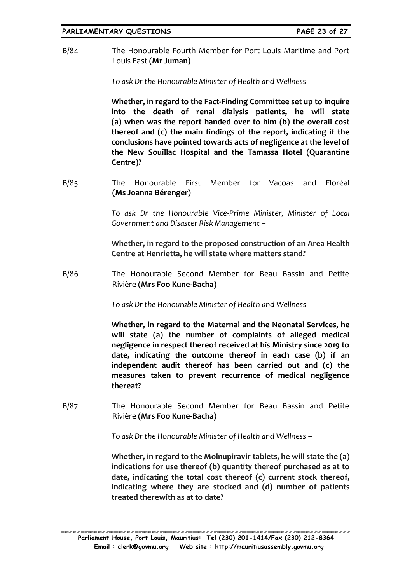B/84 The Honourable Fourth Member for Port Louis Maritime and Port Louis East **(Mr Juman)**

*To ask Dr the Honourable Minister of Health and Wellness –*

**Whether, in regard to the Fact-Finding Committee set up to inquire into the death of renal dialysis patients, he will state (a) when was the report handed over to him (b) the overall cost thereof and (c) the main findings of the report, indicating if the conclusions have pointed towards acts of negligence at the level of the New Souillac Hospital and the Tamassa Hotel (Quarantine Centre)?**

B/85 The Honourable First Member for Vacoas and Floréal **(Ms Joanna Bérenger)**

> *To ask Dr the Honourable Vice-Prime Minister, Minister of Local Government and Disaster Risk Management –*

> **Whether, in regard to the proposed construction of an Area Health Centre at Henrietta, he will state where matters stand?**

B/86 The Honourable Second Member for Beau Bassin and Petite Rivière **(Mrs Foo Kune-Bacha)**

*To ask Dr the Honourable Minister of Health and Wellness –*

**Whether, in regard to the Maternal and the Neonatal Services, he will state (a) the number of complaints of alleged medical negligence in respect thereof received at his Ministry since 2019 to date, indicating the outcome thereof in each case (b) if an independent audit thereof has been carried out and (c) the measures taken to prevent recurrence of medical negligence thereat?**

B/87 The Honourable Second Member for Beau Bassin and Petite Rivière **(Mrs Foo Kune-Bacha)**

*To ask Dr the Honourable Minister of Health and Wellness –*

**Whether, in regard to the Molnupiravir tablets, he will state the (a) indications for use thereof (b) quantity thereof purchased as at to date, indicating the total cost thereof (c) current stock thereof, indicating where they are stocked and (d) number of patients treated therewith as at to date?**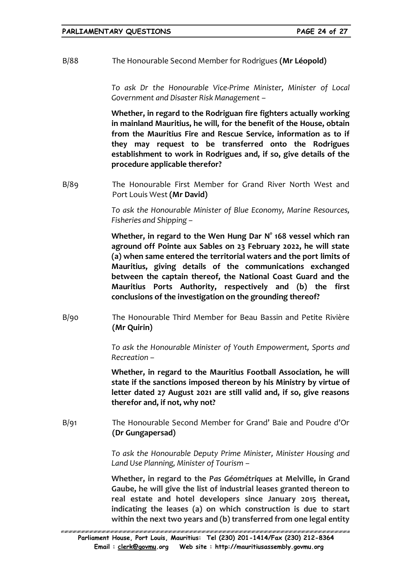B/88 The Honourable Second Member for Rodrigues **(Mr Léopold)**

*To ask Dr the Honourable Vice-Prime Minister, Minister of Local Government and Disaster Risk Management –*

**Whether, in regard to the Rodriguan fire fighters actually working in mainland Mauritius, he will, for the benefit of the House, obtain from the Mauritius Fire and Rescue Service, information as to if they may request to be transferred onto the Rodrigues establishment to work in Rodrigues and, if so, give details of the procedure applicable therefor?**

B/89 The Honourable First Member for Grand River North West and Port Louis West **(Mr David)**

> *To ask the Honourable Minister of Blue Economy, Marine Resources, Fisheries and Shipping –*

> **Whether, in regard to the Wen Hung Dar N° 168 vessel which ran aground off Pointe aux Sables on 23 February 2022, he will state (a) when same entered the territorial waters and the port limits of Mauritius, giving details of the communications exchanged between the captain thereof, the National Coast Guard and the Mauritius Ports Authority, respectively and (b) the first conclusions of the investigation on the grounding thereof?**

B/90 The Honourable Third Member for Beau Bassin and Petite Rivière **(Mr Quirin)**

> *To ask the Honourable Minister of Youth Empowerment, Sports and Recreation –*

> **Whether, in regard to the Mauritius Football Association, he will state if the sanctions imposed thereon by his Ministry by virtue of letter dated 27 August 2021 are still valid and, if so, give reasons therefor and, if not, why not?**

B/91 The Honourable Second Member for Grand' Baie and Poudre d'Or **(Dr Gungapersad)**

> *To ask the Honourable Deputy Prime Minister, Minister Housing and Land Use Planning, Minister of Tourism –*

> **Whether, in regard to the** *Pas Géométriques* **at Melville, in Grand Gaube, he will give the list of industrial leases granted thereon to real estate and hotel developers since January 2015 thereat, indicating the leases (a) on which construction is due to start within the next two years and (b) transferred from one legal entity**

**Parliament House, Port Louis, Mauritius: Tel (230) 201-1414/Fax (230) 212-8364 Email : [clerk@govmu.](../Documents/ddrive/Parliamentary%20Business/Parliamentary%20Questions/2022/Parliamentary%20Questions/2020/clerk@govmu⁠翿)org Web site : http://mauritiusassembly.govmu.org**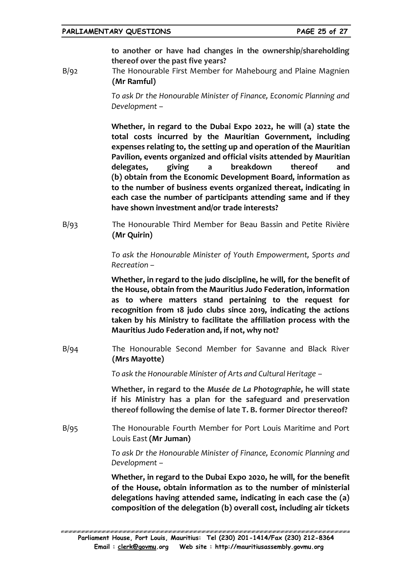**to another or have had changes in the ownership/shareholding thereof over the past five years?**

B/92 The Honourable First Member for Mahebourg and Plaine Magnien **(Mr Ramful)**

> *To ask Dr the Honourable Minister of Finance, Economic Planning and Development –*

> **Whether, in regard to the Dubai Expo 2022, he will (a) state the total costs incurred by the Mauritian Government, including expenses relating to, the setting up and operation of the Mauritian Pavilion, events organized and official visits attended by Mauritian delegates, giving a breakdown thereof and (b) obtain from the Economic Development Board, information as to the number of business events organized thereat, indicating in each case the number of participants attending same and if they have shown investment and/or trade interests?**

B/93 The Honourable Third Member for Beau Bassin and Petite Rivière **(Mr Quirin)**

> *To ask the Honourable Minister of Youth Empowerment, Sports and Recreation –*

> **Whether, in regard to the judo discipline, he will, for the benefit of the House, obtain from the Mauritius Judo Federation, information as to where matters stand pertaining to the request for recognition from 18 judo clubs since 2019, indicating the actions taken by his Ministry to facilitate the affiliation process with the Mauritius Judo Federation and, if not, why not?**

B/94 The Honourable Second Member for Savanne and Black River **(Mrs Mayotte)**

*To ask the Honourable Minister of Arts and Cultural Heritage –*

**Whether, in regard to the** *Musée de La Photographie***, he will state if his Ministry has a plan for the safeguard and preservation thereof following the demise of late T. B. former Director thereof?** 

B/95 The Honourable Fourth Member for Port Louis Maritime and Port Louis East **(Mr Juman)**

> *To ask Dr the Honourable Minister of Finance, Economic Planning and Development –*

> **Whether, in regard to the Dubai Expo 2020, he will, for the benefit of the House, obtain information as to the number of ministerial delegations having attended same, indicating in each case the (a) composition of the delegation (b) overall cost, including air tickets**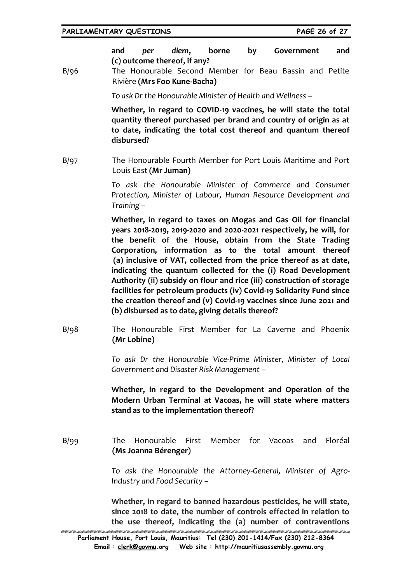**and** *per diem***, borne by Government and (c) outcome thereof, if any?**

B/96 The Honourable Second Member for Beau Bassin and Petite Rivière **(Mrs Foo Kune-Bacha)**

*To ask Dr the Honourable Minister of Health and Wellness –*

**Whether, in regard to COVID-19 vaccines, he will state the total quantity thereof purchased per brand and country of origin as at to date, indicating the total cost thereof and quantum thereof disbursed?**

B/97 The Honourable Fourth Member for Port Louis Maritime and Port Louis East **(Mr Juman)**

> *To ask the Honourable Minister of Commerce and Consumer Protection, Minister of Labour, Human Resource Development and Training –*

> **Whether, in regard to taxes on Mogas and Gas Oil for financial years 2018-2019, 2019-2020 and 2020-2021 respectively, he will, for the benefit of the House, obtain from the State Trading Corporation, information as to the total amount thereof (a) inclusive of VAT, collected from the price thereof as at date, indicating the quantum collected for the (i) Road Development Authority (ii) subsidy on flour and rice (iii) construction of storage facilities for petroleum products (iv) Covid-19 Solidarity Fund since the creation thereof and (v) Covid-19 vaccines since June 2021 and (b) disbursed as to date, giving details thereof?**

B/98 The Honourable First Member for La Caverne and Phoenix **(Mr Lobine)**

> *To ask Dr the Honourable Vice-Prime Minister, Minister of Local Government and Disaster Risk Management –*

> **Whether, in regard to the Development and Operation of the Modern Urban Terminal at Vacoas, he will state where matters stand as to the implementation thereof?**

B/99 The Honourable First Member for Vacoas and Floréal **(Ms Joanna Bérenger)**

> *To ask the Honourable the Attorney-General, Minister of Agro-Industry and Food Security –*

**Whether, in regard to banned hazardous pesticides, he will state, since 2018 to date, the number of controls effected in relation to the use thereof, indicating the (a) number of contraventions** 

TE TENEN HETE TENENE TENENE TENENE TENENE TENENE TENENE TENENE TENENE TENENE TENENE TENENE TENENE TENENE TENENE **Parliament House, Port Louis, Mauritius: Tel (230) 201-1414/Fax (230) 212-8364 Email : [clerk@govmu.](../Documents/ddrive/Parliamentary%20Business/Parliamentary%20Questions/2022/Parliamentary%20Questions/2020/clerk@govmu⁠翿)org Web site : http://mauritiusassembly.govmu.org**